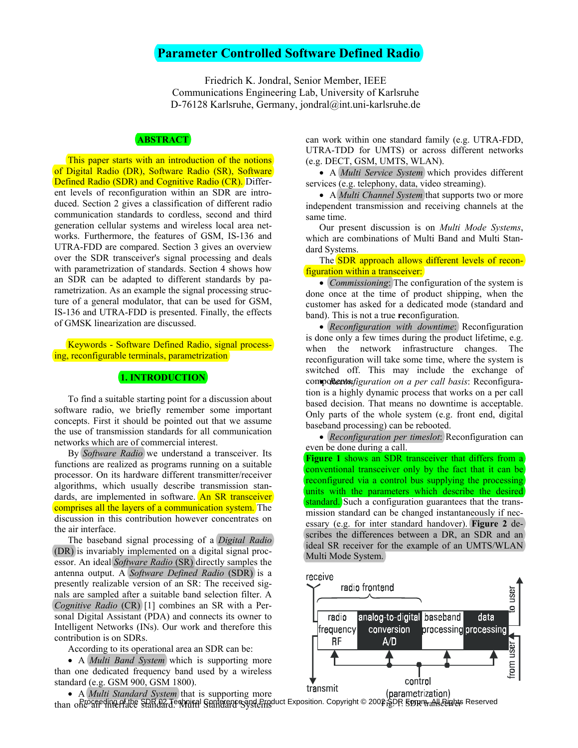# **Parameter Controlled Software Defined Radio**

Friedrich K. Jondral, Senior Member, IEEE Communications Engineering Lab, University of Karlsruhe D-76128 Karlsruhe, Germany, jondral@int.uni-karlsruhe.de

# **ABSTRACT**

This paper starts with an introduction of the notions of Digital Radio (DR), Software Radio (SR), Software Defined Radio (SDR) and Cognitive Radio (CR). Different levels of reconfiguration within an SDR are introduced. Section 2 gives a classification of different radio communication standards to cordless, second and third generation cellular systems and wireless local area networks. Furthermore, the features of GSM, IS-136 and UTRA-FDD are compared. Section 3 gives an overview over the SDR transceiver's signal processing and deals with parametrization of standards. Section 4 shows how an SDR can be adapted to different standards by parametrization. As an example the signal processing structure of a general modulator, that can be used for GSM, IS-136 and UTRA-FDD is presented. Finally, the effects of GMSK linearization are discussed.

Keywords - Software Defined Radio, signal processing, reconfigurable terminals, parametrization

## **1. INTRODUCTION**

To find a suitable starting point for a discussion about software radio, we briefly remember some important concepts. First it should be pointed out that we assume the use of transmission standards for all communication networks which are of commercial interest.

By *Software Radio* we understand a transceiver. Its functions are realized as programs running on a suitable processor. On its hardware different transmitter/receiver algorithms, which usually describe transmission standards, are implemented in software. An SR transceiver comprises all the layers of a communication system. The discussion in this contribution however concentrates on the air interface.

The baseband signal processing of a *Digital Radio* (DR) is invariably implemented on a digital signal processor. An ideal *Software Radio* (SR) directly samples the antenna output. A *Software Defined Radio* (SDR) is a presently realizable version of an SR: The received signals are sampled after a suitable band selection filter. A *Cognitive Radio* (CR) [1] combines an SR with a Personal Digital Assistant (PDA) and connects its owner to Intelligent Networks (INs). Our work and therefore this contribution is on SDRs.

According to its operational area an SDR can be:

• A *Multi Band System* which is supporting more than one dedicated frequency band used by a wireless standard (e.g. GSM 900, GSM 1800).

can work within one standard family (e.g. UTRA-FDD, UTRA-TDD for UMTS) or across different networks (e.g. DECT, GSM, UMTS, WLAN).

• A *Multi Service System* which provides different services (e.g. telephony, data, video streaming).

• A *Multi Channel System* that supports two or more independent transmission and receiving channels at the same time.

Our present discussion is on *Multi Mode Systems*, which are combinations of Multi Band and Multi Standard Systems.

The SDR approach allows different levels of reconfiguration within a transceiver:

• *Commissioning*: The configuration of the system is done once at the time of product shipping, when the customer has asked for a dedicated mode (standard and band). This is not a true **re**configuration.

• *Reconfiguration with downtime*: Reconfiguration is done only a few times during the product lifetime, e.g. when the network infrastructure changes. The reconfiguration will take some time, where the system is switched off. This may include the exchange of components *nfiguration on a per call basis*: Reconfiguration is a highly dynamic process that works on a per call based decision. That means no downtime is acceptable. Only parts of the whole system (e.g. front end, digital baseband processing) can be rebooted.

• *(Reconfiguration per timeslot:)* Reconfiguration can even be done during a call.

**Figure 1** shows an SDR transceiver that differs from a conventional transceiver only by the fact that it can be reconfigured via a control bus supplying the processing units with the parameters which describe the desired standard. Such a configuration guarantees that the transmission standard can be changed instantaneously if necessary (e.g. for inter standard handover). **Figure 2** describes the differences between a DR, an SDR and an ideal SR receiver for the example of an UMTS/WLAN Multi Mode System.



• A *Multi Standard System* that is supporting more than offeo<del>greding prate Standard Coppinal</del> Standard Systems uct Exposition. Copyright © 2002 §DR 5 ont <sub>Transc</sub>eives Reserved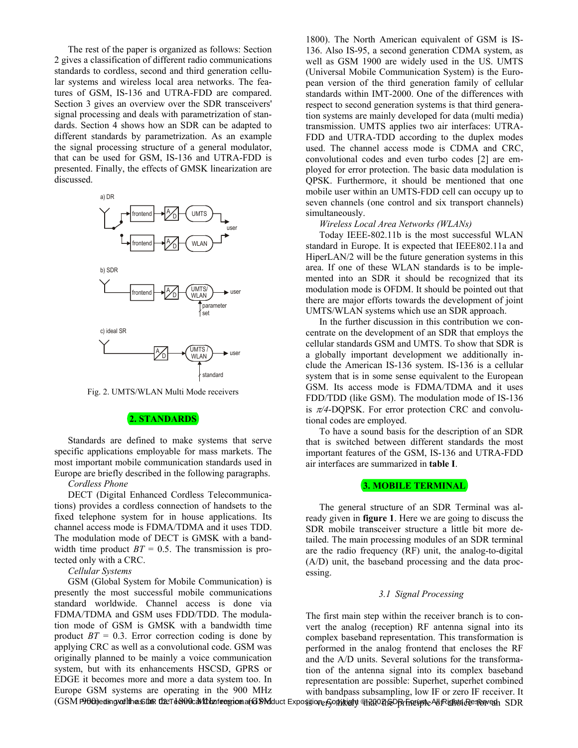The rest of the paper is organized as follows: Section 2 gives a classification of different radio communications standards to cordless, second and third generation cellular systems and wireless local area networks. The features of GSM, IS-136 and UTRA-FDD are compared. Section 3 gives an overview over the SDR transceivers' signal processing and deals with parametrization of standards. Section 4 shows how an SDR can be adapted to different standards by parametrization. As an example the signal processing structure of a general modulator, that can be used for GSM, IS-136 and UTRA-FDD is presented. Finally, the effects of GMSK linearization are discussed.



Fig. 2. UMTS/WLAN Multi Mode receivers

## **2. STANDARDS**

Standards are defined to make systems that serve specific applications employable for mass markets. The most important mobile communication standards used in Europe are briefly described in the following paragraphs.

### *Cordless Phone*

DECT (Digital Enhanced Cordless Telecommunications) provides a cordless connection of handsets to the fixed telephone system for in house applications. Its channel access mode is FDMA/TDMA and it uses TDD. The modulation mode of DECT is GMSK with a bandwidth time product  $BT = 0.5$ . The transmission is protected only with a CRC.

*Cellular Systems* 

GSM (Global System for Mobile Communication) is presently the most successful mobile communications standard worldwide. Channel access is done via FDMA/TDMA and GSM uses FDD/TDD. The modulation mode of GSM is GMSK with a bandwidth time product  $BT = 0.3$ . Error correction coding is done by applying CRC as well as a convolutional code. GSM was originally planned to be mainly a voice communication system, but with its enhancements HSCSD, GPRS or EDGE it becomes more and more a data system too. In Europe GSM systems are operating in the 900 MHz

1800). The North American equivalent of GSM is IS-136. Also IS-95, a second generation CDMA system, as well as GSM 1900 are widely used in the US. UMTS (Universal Mobile Communication System) is the European version of the third generation family of cellular standards within IMT-2000. One of the differences with respect to second generation systems is that third generation systems are mainly developed for data (multi media) transmission. UMTS applies two air interfaces: UTRA-FDD and UTRA-TDD according to the duplex modes used. The channel access mode is CDMA and CRC, convolutional codes and even turbo codes [2] are employed for error protection. The basic data modulation is QPSK. Furthermore, it should be mentioned that one mobile user within an UMTS-FDD cell can occupy up to seven channels (one control and six transport channels) simultaneously.

#### *Wireless Local Area Networks (WLANs)*

Today IEEE-802.11b is the most successful WLAN standard in Europe. It is expected that IEEE802.11a and HiperLAN/2 will be the future generation systems in this area. If one of these WLAN standards is to be implemented into an SDR it should be recognized that its modulation mode is OFDM. It should be pointed out that there are major efforts towards the development of joint UMTS/WLAN systems which use an SDR approach.

In the further discussion in this contribution we concentrate on the development of an SDR that employs the cellular standards GSM and UMTS. To show that SDR is a globally important development we additionally include the American IS-136 system. IS-136 is a cellular system that is in some sense equivalent to the European GSM. Its access mode is FDMA/TDMA and it uses FDD/TDD (like GSM). The modulation mode of IS-136 is π*/4*-DQPSK. For error protection CRC and convolutional codes are employed.

To have a sound basis for the description of an SDR that is switched between different standards the most important features of the GSM, IS-136 and UTRA-FDD air interfaces are summarized in **table I**.

#### **3. MOBILE TERMINAL**

The general structure of an SDR Terminal was already given in **figure 1**. Here we are going to discuss the SDR mobile transceiver structure a little bit more detailed. The main processing modules of an SDR terminal are the radio frequency (RF) unit, the analog-to-digital (A/D) unit, the baseband processing and the data processing.

#### *3.1 Signal Processing*

The first main step within the receiver branch is to convert the analog (reception) RF antenna signal into its complex baseband representation. This transformation is performed in the analog frontend that encloses the RF and the A/D units. Several solutions for the transformation of the antenna signal into its complex baseband representation are possible: Superhet, superhet combined with bandpass subsampling, low IF or zero IF receiver. It

(GSM Proceeding vailth as Din the Td&MicaVCharlecepicen and SM duct Exposition. GonNright @120021nDBr Frecupie All Rights Reserved is DR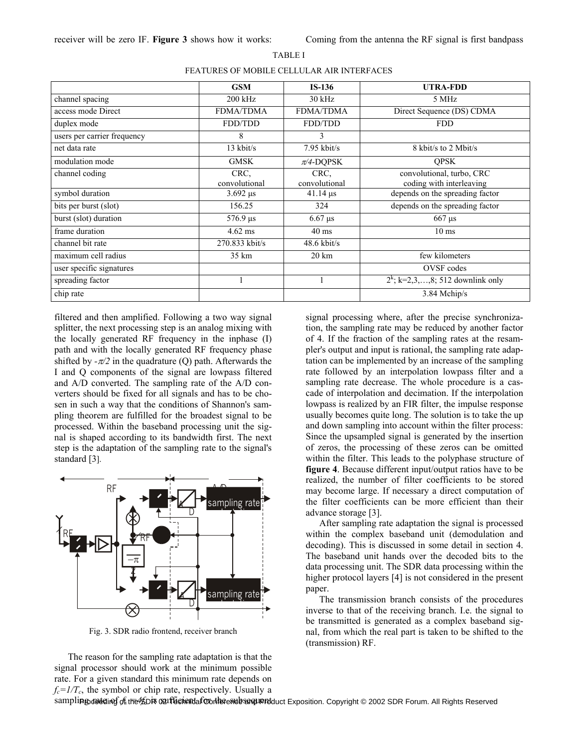### TABLE I

|                             | <b>GSM</b>            | $IS-136$                   | <b>UTRA-FDD</b>                                       |
|-----------------------------|-----------------------|----------------------------|-------------------------------------------------------|
| channel spacing             | $200$ kHz             | $30$ kHz                   | 5 MHz                                                 |
| access mode Direct          | <b>FDMA/TDMA</b>      | <b>FDMA/TDMA</b>           | Direct Sequence (DS) CDMA                             |
| duplex mode                 | FDD/TDD               | FDD/TDD                    | <b>FDD</b>                                            |
| users per carrier frequency | 8                     | 3                          |                                                       |
| net data rate               | $13$ kbit/s           | $7.95$ kbit/s              | 8 kbit/s to 2 Mbit/s                                  |
| modulation mode             | <b>GMSK</b>           | $\pi$ /4-DQPSK             | <b>OPSK</b>                                           |
| channel coding              | CRC,<br>convolutional | CRC,<br>convolutional      | convolutional, turbo, CRC<br>coding with interleaving |
| symbol duration             | $3.692 \,\mu s$       | $41.14 \,\mu s$            | depends on the spreading factor                       |
| bits per burst (slot)       | 156.25                | 324                        | depends on the spreading factor                       |
| burst (slot) duration       | $576.9 \,\mu s$       | $6.67 \text{ }\mu\text{s}$ | $667 \,\mathrm{\mu s}$                                |
| frame duration              | $4.62$ ms             | $40 \text{ ms}$            | $10 \text{ ms}$                                       |
| channel bit rate            | 270.833 kbit/s        | $48.6$ kbit/s              |                                                       |
| maximum cell radius         | 35 km                 | $20 \mathrm{km}$           | few kilometers                                        |
| user specific signatures    |                       |                            | OVSF codes                                            |
| spreading factor            |                       |                            | $2^k$ ; k=2,3,,8; 512 downlink only                   |
| chip rate                   |                       |                            | 3.84 Mchip/s                                          |

filtered and then amplified. Following a two way signal splitter, the next processing step is an analog mixing with the locally generated RF frequency in the inphase (I) path and with the locally generated RF frequency phase shifted by  $-\pi/2$  in the quadrature (O) path. Afterwards the I and Q components of the signal are lowpass filtered and A/D converted. The sampling rate of the A/D converters should be fixed for all signals and has to be chosen in such a way that the conditions of Shannon's sampling theorem are fulfilled for the broadest signal to be processed. Within the baseband processing unit the signal is shaped according to its bandwidth first. The next step is the adaptation of the sampling rate to the signal's standard [3].



Fig. 3. SDR radio frontend, receiver branch

The reason for the sampling rate adaptation is that the signal processor should work at the minimum possible rate. For a given standard this minimum rate depends on  $f_c = I/T_c$ , the symbol or chip rate, respectively. Usually a

signal processing where, after the precise synchronization, the sampling rate may be reduced by another factor of 4. If the fraction of the sampling rates at the resampler's output and input is rational, the sampling rate adaptation can be implemented by an increase of the sampling rate followed by an interpolation lowpass filter and a sampling rate decrease. The whole procedure is a cascade of interpolation and decimation. If the interpolation lowpass is realized by an FIR filter, the impulse response usually becomes quite long. The solution is to take the up and down sampling into account within the filter process: Since the upsampled signal is generated by the insertion of zeros, the processing of these zeros can be omitted within the filter. This leads to the polyphase structure of **figure 4**. Because different input/output ratios have to be realized, the number of filter coefficients to be stored may become large. If necessary a direct computation of the filter coefficients can be more efficient than their advance storage [3].

After sampling rate adaptation the signal is processed within the complex baseband unit (demodulation and decoding). This is discussed in some detail in section 4. The baseband unit hands over the decoded bits to the data processing unit. The SDR data processing within the higher protocol layers [4] is not considered in the present paper.

The transmission branch consists of the procedures inverse to that of the receiving branch. I.e. the signal to be transmitted is generated as a complex baseband signal, from which the real part is taken to be shifted to the (transmission) RF.

sampli**ng rate ding of the KDR 02 Technical Conference and Product** Exposition. Copyright © 2002 SDR Forum. All Rights Reserved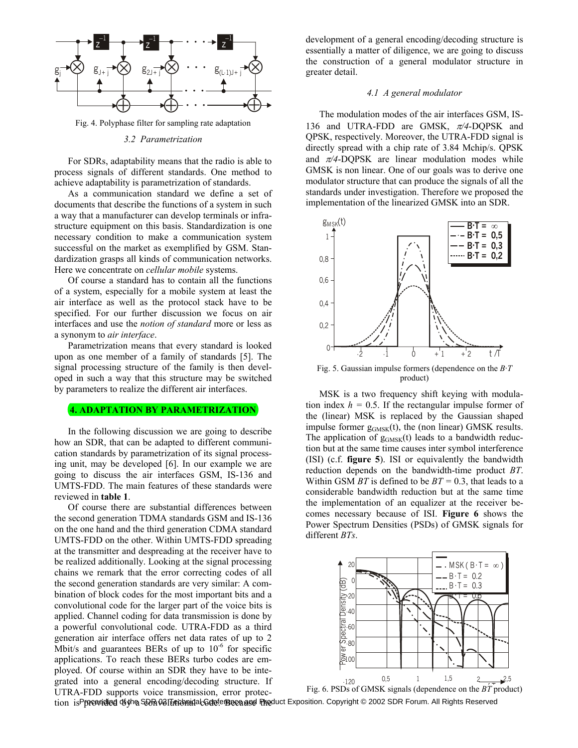

Fig. 4. Polyphase filter for sampling rate adaptation

#### *3.2 Parametrization*

For SDRs, adaptability means that the radio is able to process signals of different standards. One method to achieve adaptability is parametrization of standards.

As a communication standard we define a set of documents that describe the functions of a system in such a way that a manufacturer can develop terminals or infrastructure equipment on this basis. Standardization is one necessary condition to make a communication system successful on the market as exemplified by GSM. Standardization grasps all kinds of communication networks. Here we concentrate on *cellular mobile* systems.

Of course a standard has to contain all the functions of a system, especially for a mobile system at least the air interface as well as the protocol stack have to be specified. For our further discussion we focus on air interfaces and use the *notion of standard* more or less as a synonym to *air interface*.

Parametrization means that every standard is looked upon as one member of a family of standards [5]. The signal processing structure of the family is then developed in such a way that this structure may be switched by parameters to realize the different air interfaces.

## **4. ADAPTATION BY PARAMETRIZATION**

In the following discussion we are going to describe how an SDR, that can be adapted to different communication standards by parametrization of its signal processing unit, may be developed [6]. In our example we are going to discuss the air interfaces GSM, IS-136 and UMTS-FDD. The main features of these standards were reviewed in **table 1**.

Of course there are substantial differences between the second generation TDMA standards GSM and IS-136 on the one hand and the third generation CDMA standard UMTS-FDD on the other. Within UMTS-FDD spreading at the transmitter and despreading at the receiver have to be realized additionally. Looking at the signal processing chains we remark that the error correcting codes of all the second generation standards are very similar: A combination of block codes for the most important bits and a convolutional code for the larger part of the voice bits is applied. Channel coding for data transmission is done by a powerful convolutional code. UTRA-FDD as a third generation air interface offers net data rates of up to 2 Mbit/s and guarantees BERs of up to  $10^{-6}$  for specific applications. To reach these BERs turbo codes are employed. Of course within an SDR they have to be integrated into a general encoding/decoding structure. If UTRA-FDD supports voice transmission, error protec-

development of a general encoding/decoding structure is essentially a matter of diligence, we are going to discuss the construction of a general modulator structure in greater detail.

#### *4.1 A general modulator*

The modulation modes of the air interfaces GSM, IS-136 and UTRA-FDD are GMSK, π*/4*-DQPSK and QPSK, respectively. Moreover, the UTRA-FDD signal is directly spread with a chip rate of 3.84 Mchip/s. QPSK and  $\pi/4$ -DOPSK are linear modulation modes while GMSK is non linear. One of our goals was to derive one modulator structure that can produce the signals of all the standards under investigation. Therefore we proposed the implementation of the linearized GMSK into an SDR.



Fig. 5. Gaussian impulse formers (dependence on the *B·T* product)

MSK is a two frequency shift keying with modulation index  $h = 0.5$ . If the rectangular impulse former of the (linear) MSK is replaced by the Gaussian shaped impulse former  $g_{GMSK}(t)$ , the (non linear) GMSK results. The application of  $g<sub>GMSK</sub>(t)$  leads to a bandwidth reduction but at the same time causes inter symbol interference (ISI) (c.f. **figure 5**). ISI or equivalently the bandwidth reduction depends on the bandwidth-time product *BT*. Within GSM *BT* is defined to be *BT =* 0.3, that leads to a considerable bandwidth reduction but at the same time the implementation of an equalizer at the receiver becomes necessary because of ISI. **Figure 6** shows the Power Spectrum Densities (PSDs) of GMSK signals for different *BTs*.



tion isPproaadied ඡ∮he SRR 03|Teromidal GdeferBeca asd Pheduct Exposition. Copyright © 2002 SDR Forum. All Rights Reserved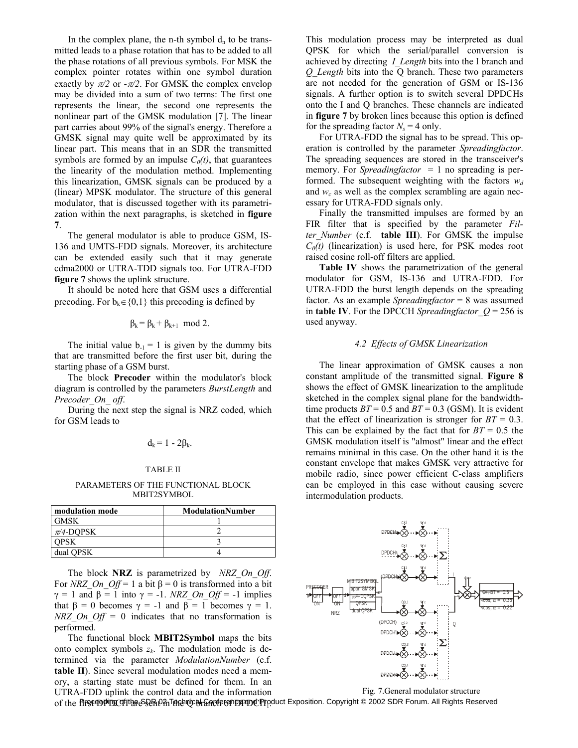In the complex plane, the n-th symbol  $d_n$  to be transmitted leads to a phase rotation that has to be added to all the phase rotations of all previous symbols. For MSK the complex pointer rotates within one symbol duration exactly by  $\pi/2$  or  $-\pi/2$ . For GMSK the complex envelop may be divided into a sum of two terms: The first one represents the linear, the second one represents the nonlinear part of the GMSK modulation [7]. The linear part carries about 99% of the signal's energy. Therefore a GMSK signal may quite well be approximated by its linear part. This means that in an SDR the transmitted symbols are formed by an impulse  $C_0(t)$ , that guarantees the linearity of the modulation method. Implementing this linearization, GMSK signals can be produced by a (linear) MPSK modulator. The structure of this general modulator, that is discussed together with its parametrization within the next paragraphs, is sketched in **figure 7**.

The general modulator is able to produce GSM, IS-136 and UMTS-FDD signals. Moreover, its architecture can be extended easily such that it may generate cdma2000 or UTRA-TDD signals too. For UTRA-FDD **figure 7** shows the uplink structure.

It should be noted here that GSM uses a differential precoding. For  $b_k \in \{0,1\}$  this precoding is defined by

$$
\beta_k = \beta_k + \beta_{k+1} \mod 2.
$$

The initial value  $b_{-1} = 1$  is given by the dummy bits that are transmitted before the first user bit, during the starting phase of a GSM burst.

The block **Precoder** within the modulator's block diagram is controlled by the parameters *BurstLength* and *Precoder\_On\_ off*.

During the next step the signal is NRZ coded, which for GSM leads to

$$
d_k = 1 - 2\beta_k.
$$

#### TABLE II

PARAMETERS OF THE FUNCTIONAL BLOCK MBIT2SYMBOL

| modulation mode | <b>ModulationNumber</b> |  |  |
|-----------------|-------------------------|--|--|
| <b>GMSK</b>     |                         |  |  |
| $\pi/4$ -DOPSK  |                         |  |  |
| PSK             |                         |  |  |
| dual QPSK       |                         |  |  |

The block **NRZ** is parametrized by *NRZ\_On\_Off*. For *NRZ* On Off = 1 a bit  $\beta = 0$  is transformed into a bit  $\gamma = 1$  and  $\beta = 1$  into  $\gamma = -1$ . *NRZ* On Off<sup> $\gamma = -1$  implies</sup> that  $\beta = 0$  becomes  $\gamma = -1$  and  $\beta = 1$  becomes  $\gamma = 1$ . *NRZ On Off* = 0 indicates that no transformation is performed.

The functional block **MBIT2Symbol** maps the bits onto complex symbols  $z_k$ . The modulation mode is determined via the parameter *ModulationNumber* (c.f. **table II**). Since several modulation modes need a memory, a starting state must be defined for them. In an UTRA-FDD uplink the control data and the information This modulation process may be interpreted as dual QPSK for which the serial/parallel conversion is achieved by directing *I\_Length* bits into the I branch and *Q\_Length* bits into the Q branch. These two parameters are not needed for the generation of GSM or IS-136 signals. A further option is to switch several DPDCHs onto the I and Q branches. These channels are indicated in **figure 7** by broken lines because this option is defined for the spreading factor  $N_s = 4$  only.

For UTRA-FDD the signal has to be spread. This operation is controlled by the parameter *Spreadingfactor*. The spreading sequences are stored in the transceiver's memory. For *Spreadingfactor* = 1 no spreading is performed. The subsequent weighting with the factors  $w_d$ and  $w_c$  as well as the complex scrambling are again necessary for UTRA-FDD signals only.

Finally the transmitted impulses are formed by an FIR filter that is specified by the parameter *Filter\_Number* (c.f. **table III**). For GMSK the impulse  $C_0(t)$  (linearization) is used here, for PSK modes root raised cosine roll-off filters are applied.

**Table IV** shows the parametrization of the general modulator for GSM, IS-136 and UTRA-FDD. For UTRA-FDD the burst length depends on the spreading factor. As an example *Spreadingfactor* = 8 was assumed in **table IV**. For the DPCCH *Spreadingfactor*  $Q = 256$  is used anyway.

#### *4.2 Effects of GMSK Linearization*

The linear approximation of GMSK causes a non constant amplitude of the transmitted signal. **Figure 8** shows the effect of GMSK linearization to the amplitude sketched in the complex signal plane for the bandwidthtime products  $BT = 0.5$  and  $BT = 0.3$  (GSM). It is evident that the effect of linearization is stronger for  $BT = 0.3$ . This can be explained by the fact that for  $BT = 0.5$  the GMSK modulation itself is "almost" linear and the effect remains minimal in this case. On the other hand it is the constant envelope that makes GMSK very attractive for mobile radio, since power efficient C-class amplifiers can be employed in this case without causing severe intermodulation products.



Fig. 7.General modulator structure

of the **firstΦiÞDC**IIthନeS&RfVanTaRehQrGhRancferenDEPPOQLPFpduct Exposition. Copyright © 2002 SDR Forum. All Rights Reserved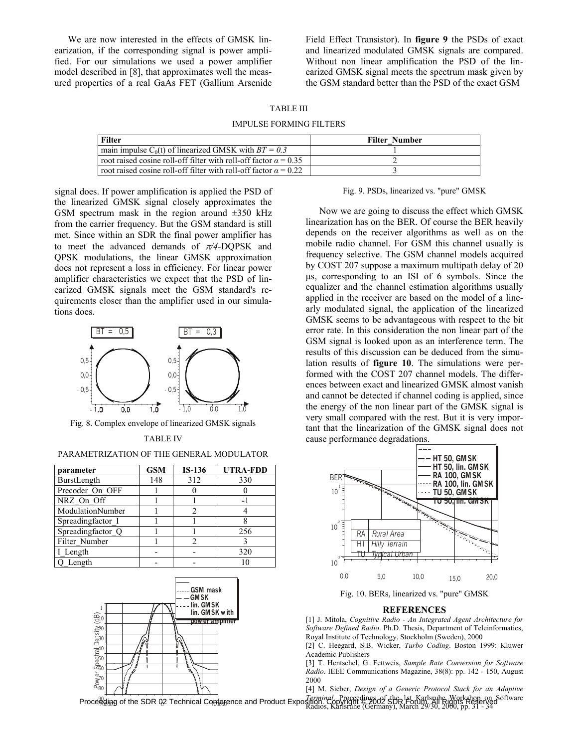We are now interested in the effects of GMSK linearization, if the corresponding signal is power amplified. For our simulations we used a power amplifier model described in [8], that approximates well the measured properties of a real GaAs FET (Gallium Arsenide Field Effect Transistor). In **figure 9** the PSDs of exact and linearized modulated GMSK signals are compared. Without non linear amplification the PSD of the linearized GMSK signal meets the spectrum mask given by the GSM standard better than the PSD of the exact GSM

# TABLE III

IMPULSE FORMING FILTERS

| <b>Filter Number</b> |
|----------------------|
|                      |
|                      |
|                      |
|                      |

signal does. If power amplification is applied the PSD of the linearized GMSK signal closely approximates the GSM spectrum mask in the region around  $\pm 350$  kHz from the carrier frequency. But the GSM standard is still met. Since within an SDR the final power amplifier has to meet the advanced demands of <sup>π</sup>*/4*-DQPSK and QPSK modulations, the linear GMSK approximation does not represent a loss in efficiency. For linear power amplifier characteristics we expect that the PSD of linearized GMSK signals meet the GSM standard's requirements closer than the amplifier used in our simulations does.



Fig. 8. Complex envelope of linearized GMSK signals

TABLE IV

PARAMETRIZATION OF THE GENERAL MODULATOR

| parameter         | <b>GSM</b> | $IS-136$ | <b>UTRA-FDD</b> |
|-------------------|------------|----------|-----------------|
| BurstLength       | 148        | 312      | 330             |
| Precoder On OFF   |            |          |                 |
| NRZ On Off        |            |          |                 |
| ModulationNumber  |            |          |                 |
| Spreadingfactor I |            |          |                 |
| Spreadingfactor Q |            |          | 256             |
| Filter Number     |            |          |                 |
| I Length          |            |          | 320             |
| O Length          |            |          |                 |



Fig. 9. PSDs, linearized vs. "pure" GMSK

Now we are going to discuss the effect which GMSK linearization has on the BER. Of course the BER heavily depends on the receiver algorithms as well as on the mobile radio channel. For GSM this channel usually is frequency selective. The GSM channel models acquired by COST 207 suppose a maximum multipath delay of 20 µs, corresponding to an ISI of 6 symbols. Since the equalizer and the channel estimation algorithms usually applied in the receiver are based on the model of a linearly modulated signal, the application of the linearized GMSK seems to be advantageous with respect to the bit error rate. In this consideration the non linear part of the GSM signal is looked upon as an interference term. The results of this discussion can be deduced from the simulation results of **figure 10**. The simulations were performed with the COST 207 channel models. The differences between exact and linearized GMSK almost vanish and cannot be detected if channel coding is applied, since the energy of the non linear part of the GMSK signal is very small compared with the rest. But it is very important that the linearization of the GMSK signal does not cause performance degradations.



Fig. 10. BERs, linearized vs. "pure" GMSK

#### **REFERENCES**

[1] J. Mitola, *Cognitive Radio - An Integrated Agent Architecture for Software Defined Radio*. Ph.D. Thesis, Department of Teleinformatics, Royal Institute of Technology, Stockholm (Sweden), 2000

[2] C. Heegard, S.B. Wicker, *Turbo Coding*. Boston 1999: Kluwer Academic Publishers

[3] T. Hentschel, G. Fettweis, *Sample Rate Conversion for Software Radio*. IEEE Communications Magazine, 38(8): pp. 142 - 150, August 2000

Proceeding of the SDR 02 Technical Conference and Product Exposition. Copyright Cocedings of the 1st Karlsruhe Workshop on Software<br>Proceeding of the SDR 02 Technical Conference and Product Exposition. Karlsruhe (Germany), [4] M. Sieber, *Design of a Generic Protocol Stack for an Adaptive*